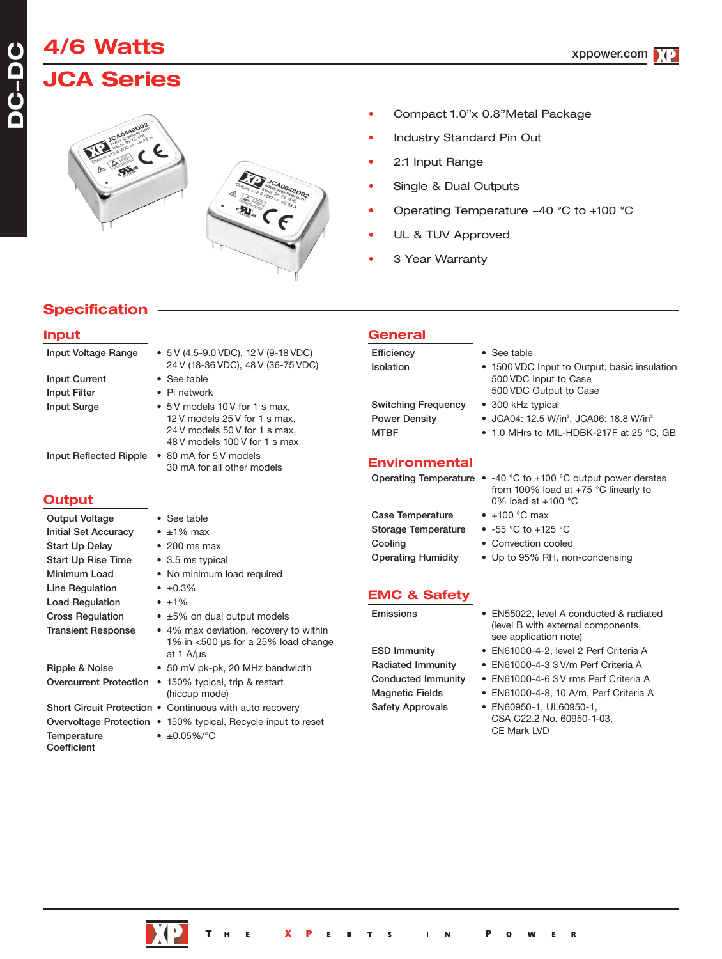# **JCA Series**

**4/6 Watts**





- Compact 1.0"x 0.8"Metal Package
- Industry Standard Pin Out
- 2:1 Input Range
- Single & Dual Outputs
- Operating Temperature -40 °C to +100 °C
- UL & TUV Approved
- 3 Year Warranty

### **Specification**

#### **Input** Input Voltage Range • 5 V (4.5-9.0 VDC), 12 V (9-18 VDC) 24 V (18-36 VDC), 48 V (36-75 VDC) Input Current • See table Input Filter • Pi network Input Surge • 5V models 10V for 1 s max, 12 V models 25 V for 1 s max, 24 V models 50 V for 1 s max, 48 V models 100 V for 1 s max Input Reflected Ripple • 80 mA for 5 V models 30 mA for all other models **Output** Output Voltage • See table Initial Set Accuracy • ±1% max Start Up Delay • 200 ms max Start Up Rise Time • 3.5 ms typical Minimum Load • No minimum load required Line Regulation •  $\pm 0.3\%$ **General** Efficiency • See table Isolation • 1500 VDC Input to Output, basic insulation Switching Frequency • 300 kHz typical **Power Density • JCA04: 12.5 W/in<sup>3</sup>, JCA06: 18.8 W/in<sup>3</sup> Environmental**

- Load Regulation  $\bullet$  ±1%
- Cross Regulation  $\cdot$  ±5% on dual output models
- Transient Response 4% max deviation, recovery to within 1% in <500 µs for a 25% load change at 1 A/µs Ripple & Noise • 50 mV pk-pk, 20 MHz bandwidth
- Overcurrent Protection 150% typical, trip & restart (hiccup mode)
- Short Circuit Protection . Continuous with auto recovery
- Overvoltage Protection 150% typical, Recycle input to reset
- Temperature ±0.05%/°C

**Coefficient** 

MTBF • 1.0 MHrs to MIL-HDBK-217F at 25 °C, GB Operating Temperature • -40 °C to +100 °C output power derates from 100% load at +75 °C linearly to 0% load at +100 °C

500 VDC Input to Case 500 VDC Output to Case

- Case Temperature +100 °C max
- Storage Temperature -55 °C to +125 °C
- Cooling Convection cooled
- Operating Humidity Up to 95% RH, non-condensing
- **EMC & Safety**
- 

- Emissions EN55022, level A conducted & radiated (level B with external components, see application note)
- ESD Immunity EN61000-4-2, level 2 Perf Criteria A
- Radiated Immunity EN61000-4-3 3 V/m Perf Criteria A
- Conducted Immunity EN61000-4-6 3 V rms Perf Criteria A
- Magnetic Fields EN61000-4-8, 10 A/m, Perf Criteria A

 $\mathbf R$ 

Safety Approvals • EN60950-1, UL60950-1, CSA C22.2 No. 60950-1-03, CE Mark LVD